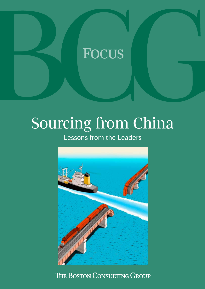# **FOCUS**

# Sourcing from China

Lessons from the Leaders



THE BOSTON CONSULTING GROUP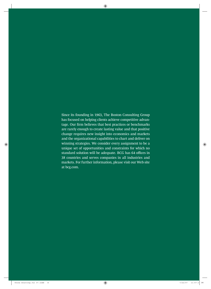Since its founding in 1963, The Boston Consulting Group has focused on helping clients achieve competitive advantage. Our firm believes that best practices or benchmarks are rarely enough to create lasting value and that positive change requires new insight into economics and markets and the organizational capabilities to chart and deliver on winning strategies. We consider every assignment to be a unique set of opportunities and constraints for which no standard solution will be adequate. BCG has 64 offices in 38 countries and serves companies in all industries and markets. For further information, please visit our Web site at bcg.com.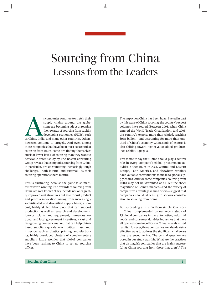# Sourcing from China Lessons from the Leaders

s companies continue to stretch their<br>supply chains around the globe,<br>some are becoming adept at reaping<br>the rewards of sourcing from rapidly<br>developing economies (RDEs), such<br>as China, India, and many other countries. Oth supply chains around the globe, some are becoming adept at reaping the rewards of sourcing from rapidly developing economies (RDEs), such however, continue to struggle. And even among those companies that have been most successful at sourcing from RDEs, some are finding themselves stuck at lower levels of sourcing than they want to achieve. A recent study by The Boston Consulting Group reveals that companies sourcing from China, in particular, are encountering increasingly tough challenges—both internal and external—as their sourcing operations there mature.

This is frustrating, because the game is so manifestly worth winning. The rewards of sourcing from China are well known. They include not only greatly improved cost structures but also robust product and process innovation arising from increasingly sophisticated and diversified supply bases; a lowcost, highly skilled labor pool that can support production as well as research and development; low-cost plants and equipment; numerous national and local government incentives; a vast and fast-growing domestic market that can help Chinabased suppliers quickly reach critical mass; and, in sectors such as plastics, printing, and electronics, highly developed clusters of complementary suppliers. Little wonder that global companies have been rushing to China to set up sourcing offices.

The impact on China has been huge. Fueled in part by this wave of China sourcing, the country's export volumes have soared. Between 2001, when China entered the World Trade Organization, and 2006, the country's exports more than tripled, reaching \$969 billion—and accounting for more than onethird of China's economy. China's mix of exports is also shifting toward higher-value-added products. (See Exhibit 1, page 2.)

This is not to say that China should play a central role in every company's global procurement activities. Other RDEs in Asia, Central and Eastern Europe, Latin America, and elsewhere certainly have valuable contributions to make to global supply chains. And for some companies, sourcing from RDEs may not be warranted at all. But the sheer magnitude of China's market—and the variety of competitive advantages China offers—suggest that companies should at least give serious consideration to sourcing from China.

But succeeding at it is far from simple. Our work in China, complemented by our recent study of 15 global companies in the automotive, industrial goods, and consumer durables industries that have all opened sourcing offices in China, reveals mixed results. However, those companies are also devising effective ways to address the significant challenges they are encountering. The central question we posed in our study was this: What are the practices that distinguish companies that are highly successful at China sourcing from those that aren't? The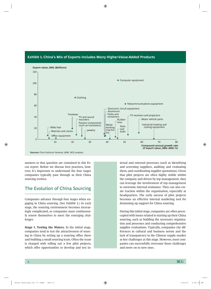



answers to that question are contained in this Focus report. Before we discuss best practices, however, it's important to understand the four stages companies typically pass through as their China sourcing evolves.

## The Evolution of China Sourcing

Companies advance through four stages when engaging in China sourcing. (See Exhibit 2.) In each stage, the sourcing environment becomes increasingly complicated, so companies must continuously renew themselves to meet the emerging challenges.

**Stage 1. Testing the Waters.** In the initial stage, companies tend to test the attractiveness of sourcing in China by setting up a sourcing office there and building a small sourcing team. Often the team is charged with rolling out a few pilot projects, which offer opportunities to develop and test in-

ternal and external processes (such as identifying and screening suppliers, auditing and evaluating them, and coordinating supplier quotations). Given that pilot projects are often highly visible within the company and driven by top management, they can leverage the involvement of top management to overcome internal resistance. They can also create traction within the organization, especially at headquarters. The early success of pilot projects becomes an effective internal marketing tool for drumming up support for China sourcing.

During this initial stage, companies are often preoccupied with issues related to starting up their China sourcing, such as building the necessary organization and processes and conducting comprehensive supplier evaluations. Typically, companies cite differences in cultural and business norms and the lack of transparency in the Chinese supply market as key challenges at this stage. However, most companies can successfully overcome those challenges and move on to new ones.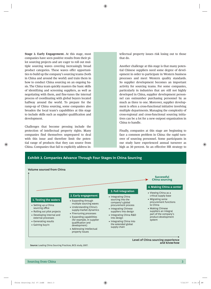**Stage 2. Early Engagement.** At this stage, most companies have seen positive results from their pilot sourcing projects and are eager to roll out multiple sourcing waves covering increasingly broad product categories. These waves offer opportunities to build up the company's sourcing teams (both in China and around the world) and train them in how to conduct China sourcing on an ongoing basis. The China team quickly masters the basic skills of identifying and screening suppliers, as well as negotiating with them, and fine-tunes the internal process of coordinating with global buyers located halfway around the world. To prepare for the ramp-up of China sourcing, some companies also broaden the local team's capabilities at this stage to include skills such as supplier qualification and development.

Challenges that become pressing include the protection of intellectual property rights. Many companies find themselves unprepared to deal with this issue and therefore limit the potential range of products that they can source from China. Companies that fail to explicitly address intellectual property issues risk losing out to those that do.

Another challenge at this stage is that many potential Chinese suppliers need some degree of development in order to participate in Western business processes and meet Western quality standards. So supplier development becomes an important activity for sourcing teams. For some companies, particularly in industries that are still not highly developed in China, supplier development personnel can outnumber purchasing personnel by as much as three to one. Moreover, supplier development is often a cross-functional initiative involving multiple departments. Managing the complexity of cross-regional and cross-functional sourcing initiatives can be a lot for a new outpost organization in China to handle.

Finally, companies at this stage are beginning to face a common problem in China: the rapid turnover of sourcing personnel. Some participants in our study have experienced annual turnover as high as 30 percent. So an effective HR strategy to



**Source:** Leading China Sourcing Practices, BCG study, 2007.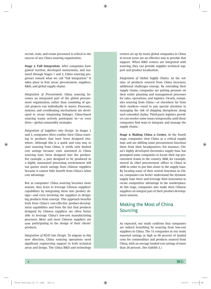recruit, train, and retain personnel is critical to the success of any China sourcing organization.

**Stage 3. Full Integration.** After companies have gained traction, developed momentum, and matured through Stages 1 and 2, China sourcing progresses toward what we call "full integration." It takes place in four areas: procurement, suppliers, R&D, and global supply chains.

*Integration of Procurement.* China sourcing becomes an integrated part of the global procurement organization, rather than consisting of special projects run individually in waves. Processes, systems, and coordinating mechanisms are developed to create integrating linkages. China-based sourcing teams actively participate in—or even drive—global commodity strategies.

*Integration of Suppliers into Design.* In Stages 1 and 2, companies often confine their China sourcing to products that have been designed elsewhere. Although this is a quick and easy way to start sourcing from China, it yields only limited cost savings because costs unrelated to China sourcing have been designed into the product. For example, a part designed to be produced in a highly automated processing environment will not garner much savings from Chinese suppliers because it cannot fully benefit from China's labor cost advantage.

But as companies' China sourcing becomes more mature, they learn to leverage Chinese suppliers' capabilities by integrating them into product design—and even involving the suppliers in designing products from concept. This approach benefits both from China's cost-effective product-development capabilities and from the fact that products designed by Chinese suppliers are often better able to leverage China's low-cost manufacturing processes. More and more Chinese suppliers are now participating in the design of their clients' products.

*Integration of R&D into Design.* To migrate in this new direction, China sourcing operations need significant engineering support in both technical areas and design. The China R&D and technology

centers set up by many global companies in China in recent years are an effective way to provide that support. When R&D centers are integrated with sourcing, they can provide supplier technical support and product localization.

*Integration of Global Supply Chains.* As the volume of products sourced from China increases, additional challenges emerge. By extending their supply chains, companies are putting pressure on their entire planning and management processes for sales, operations, and logistics. Clearly, companies sourcing from China—or elsewhere far from their markets—need to pay special attention to managing the risk of shipping disruptions along such extended chains. Third-party logistics providers can resolve some issues temporarily, until these companies find ways to integrate and manage the supply chains.

**Stage 4. Making China a Center.** At the fourth stage, companies view China as a critical supply base and are shifting some procurement functions there from their headquarters. For instance, China's highly developed electronics supply base has prompted some companies to locate their top procurement teams in the country. IBM, for example, moved its chief procurement officer to China in 2006 in order to put him closer to the supply base. By locating some of their central functions in China, companies can better understand the dynamic supply base there and leverage their innovation to create competitive advantage in the marketplace. At this stage, companies also make their Chinese suppliers an integral part of their product-development systems.

## Making the Most of China **Sourcing**

As expected, our study confirms that companies are indeed benefiting by sourcing from low-cost suppliers in China. The 15 companies in our study reported savings as high as 60 percent of landed costs for commodities and products sourced from China, with an average landed-cost savings of more than 20 percent. (See Exhibit 3.)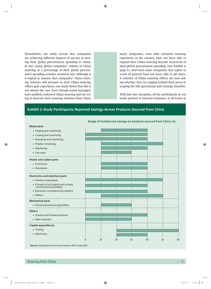Nonetheless, our study reveals that companies are achieving different degrees of success in moving their global procurement spending to China. In fact, many global companies' volume of China sourcing as a percentage of their global procurement spending remains relatively low. Although it is logical to assume that companies' China sourcing volumes will increase as their China sourcing offices gain experience, our study shows that this is not always the case. Even though senior managers have publicly endorsed China sourcing and are trying to increase their sourcing volumes from China,

many companies, even with extensive sourcing experience in the country, have not been able to expand their China sourcing beyond 10 percent of their global procurement spending. (See Exhibit 4, page 6.) And even some companies that aspire to reach 10 percent have not been able to get there. A number of China sourcing offices are now asking whether they are lagging behind their peers in reaping the full operational and strategic benefits.

With just one exception, all the participants in our study pointed to internal resistance at all levels as

#### **Exhibit 3. Study Participants Reported Savings Across Products Sourced from China**

| <b>Metal parts</b>                                               |    |    | $\overline{1}$ |    |          |
|------------------------------------------------------------------|----|----|----------------|----|----------|
| • Forging and machining                                          |    |    |                |    |          |
| • Casting and machining                                          |    |    |                |    |          |
| • Stamping and machining                                         |    |    |                |    |          |
| • Powder metallurgy                                              |    |    |                |    |          |
| • Machining                                                      |    |    |                |    |          |
| • Extrusion                                                      |    |    |                |    |          |
|                                                                  |    |    |                |    |          |
| <b>Plastic and rubber parts</b>                                  |    |    |                |    |          |
| • Functional                                                     |    |    |                |    |          |
| • Decorative                                                     |    |    |                |    |          |
|                                                                  |    |    |                |    |          |
| <b>Electronics and electrical parts</b>                          |    |    |                |    |          |
| • Passive components                                             |    |    |                |    |          |
| • Printed circuit boards and printed<br>circuit-board assemblies |    |    |                |    |          |
|                                                                  |    |    |                |    |          |
| • Electronic manufacturing systems                               |    |    |                |    |          |
| • Motors                                                         |    |    |                |    |          |
| <b>Mechanical parts</b>                                          |    |    |                |    |          |
| • Electromechanical assemblies                                   |    |    |                |    |          |
|                                                                  |    |    |                |    |          |
| <b>Others</b>                                                    |    |    |                |    |          |
| • Outsourced finished products                                   |    |    |                |    |          |
| • Raw materials                                                  |    |    |                |    |          |
| <b>Capital expenditures</b>                                      |    |    |                |    |          |
| • Tooling                                                        |    |    |                |    |          |
| • Machinery                                                      |    |    |                |    |          |
|                                                                  |    |    |                |    |          |
|                                                                  | 10 | 20 | 30             | 40 | 60<br>50 |

**Range of landed-cost savings on products sourced from China (%)**

**Source:** Leading China Sourcing Practices, BCG study, 2007.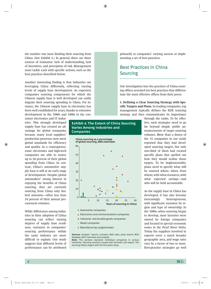the number one issue limiting their sourcing from China. (See Exhibit 5.) In general, there are three sources of resistance: lack of understanding, lack of incentives, and perception of risk. Management must tackle each with specific actions, such as the best practices described below.

Another interesting finding is that industries are leveraging China differently, reflecting varying levels of supply base development. As expected, companies sourcing components for which the Chinese supply base is well developed can easily migrate their sourcing spending to China. For instance, the Chinese supply base in electronics has been well established for years, thanks to extensive development in the 1980s and 1990s in the con-

sumer electronics and IT industries. This strongly developed supply base has created an advantage for global companies because many local suppliers' production processes now meet global standards for efficiency and quality. As a consequence, some electronics and high-tech companies are able to source up to 50 percent of their global spending from China. In contrast, China's automotive supply base is still at an early stage of development. Despite global automakers' strong interest in enjoying the benefits of China sourcing, they are currently sourcing from China only limited amounts—often less than 10 percent of their annual procurement volumes.

While differences among industries in their adoption of China sourcing can reflect varying degrees of supply base readiness, variances in companies' sourcing performance within the same industry are more difficult to explain. Our study suggests that different levels of performance can be attributed

#### **Exhibit 4. The Extent of China Sourcing Varies Among Industries and Companies**



- Automotive companies
- ▲ Electronics and communications companies
- Industrial- and durable-goods companies
- Retail companies
- Manufacturing conglomerates

**Sources:** Analysts' reports; company Web sites; press search; BCG database; BCG interviews and analysis.

**Note:** The symbols represent individual companies in various industries. Sourcing volumes include both domestic and export. The sourcing history begins with the first plant setup.

primarily to companies' varying success at implementing a set of best practices.

### Best Practices in China **Sourcing**

Our investigation into the practices of China sourcing offices revealed ten best practices that differentiate the most effective offices from their peers.

**1. Defining a Clear Sourcing Strategy with Specific Targets and Plans.** In leading companies, top management typically defines the RDE sourcing strategy and then communicates its importance

> through the ranks. To be effective, such strategies need to go far beyond simple public announcements of target sourcing volumes. More than a dozen of the 15 companies in our study reported that they had developed sourcing targets, but only one-third of them had created specific plans that spelled out how they would realize those targets. To be implementable, plans need to specify what will be sourced where, when, from whom, with what resources, with what expected savings—and who will be held accountable.

> As the supply base in China has developed, it has also become increasingly heterogeneous, with significant variation by region and type of ownership. In the 1980s, when sourcing began to develop, most factories were owned by foreign companies and located in special economic zones in the Pearl River Delta. Today the suppliers involved in exports cover a much broader geographic area, and wage rates vary by a factor of two or more. Best-practice strategies go well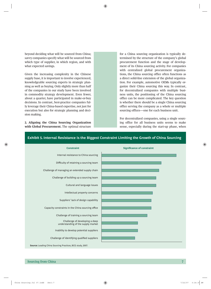beyond deciding what will be sourced from China; savvy companies specify what will be sourced from which type of supplier, in which region, and with what expected savings.

Given the increasing complexity in the Chinese supply base, it is important to involve experienced, knowledgeable sourcing experts in strategic planning as well as buying. Only slightly more than half of the companies in our study have been involved in commodity strategy development. Even fewer, about a quarter, have participated in make-or-buy decisions. In contrast, best-practice companies fully leverage their China-based expertise, not just for execution but also for strategic planning and decision making.

**2. Aligning the China Sourcing Organization**  with Global Procurement. The optimal structure

for a China sourcing organization is typically determined by the structure of the company's global procurement function and the stage of development of its China sourcing activity. For companies with centralized global procurement organizations, the China sourcing office often functions as a direct solid-line extension of the global organization. For example, automotive OEMs typically organize their China sourcing this way. In contrast, for decentralized companies with multiple business units, the positioning of the China sourcing office can be more complicated. The key question is whether there should be a single China sourcing office serving the company as a whole or multiple sourcing offices—one for each business unit.

For decentralized companies, using a single sourcing office for all business units seems to make sense, especially during the start-up phase, when



#### **Exhibit 5. Internal Resistance Is the Biggest Constraint Limiting the Growth of China Sourcing**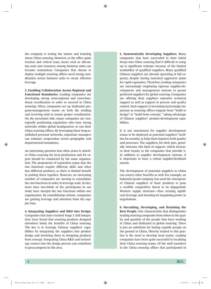the company is testing the waters and learning about China sourcing. However, as the office gains traction and critical mass, issues such as allocating costs and resources among business units can become contentious. Companies that choose to deploy multiple sourcing offices need strong coordination across business units to create effective leverage.

**3. Enabling Collaboration Across Regional and Functional Boundaries.** Leading companies are developing strong cross-regional and cross-functional coordination in order to succeed in China sourcing. Often, companies set up dedicated program-management teams on both the sending and receiving ends to ensure proper coordination. On the personnel side, many companies are strategically positioning expatriates who have strong networks within global headquarters to run their China sourcing offices. By leveraging these long-established personal networks, expatriate managers can enhance cooperation across geographic and departmental boundaries.

An interesting question that often arises is whether China sourcing for local production and for export should be conducted by the same organization. The proponents of separation argue that the two functions require different skills and often buy different products, so there is limited benefit in putting them together. However, an increasing number of companies are moving to consolidate the two functions in order to leverage scale. In fact, more than two-thirds of the participants in our study have merged the two functions within one organization. By consolidating volume, companies are gaining leverage and attention from the supply base.

**4. Integrating Suppliers and R&D into Design.** Companies that have reached Stage 3 (full integration) have found that sourcing products designed elsewhere limits the benefits of China sourcing. The key is to leverage Chinese suppliers' capabilities by integrating the suppliers into product design and involving them in designing products from concept. Integrating China R&D and technology centers into the design process can contribute to great progress in this area.

**5. Systematically Developing Suppliers.** Many companies that have succeeded in their initial forays into China sourcing find it difficult to ramp up to significant volumes because of the limited availability of qualified suppliers. Many qualified Chinese suppliers are already operating at full capacity, despite having launched aggressive plans for rapid expansion. Therefore, leading companies are increasingly employing rigorous supplier-development and management systems to groom preferred suppliers for global sourcing. Companies are offering their suppliers extensive technical support as well as support in process and quality control. Such support is becoming increasingly important as sourcing offices migrate from "build to design" to "build from concept," taking advantage of Chinese suppliers' product-development capabilities.

It is not uncommon for supplier development teams to be deployed at potential suppliers' facilities for months, to help them improve both quality and processes. The suppliers, for their part, generally welcome this kind of support, which increases their loyalty to the companies that provide it. In addition to supplier development systems, it is important to have a robust supplier-feedback system.

The development of potential suppliers in China can convey other benefits as well. For example, an industrial goods company has used the emergence of Chinese suppliers of basic products to pose a credible competitive threat to its oligopolistic Western supply structure—thus creating significant leverage and boosting its bargaining power in negotiations.

**6. Recruiting, Developing, and Retaining the Best People.** One characteristic that distinguishes leading sourcing companies from others is the quality and quantity of the people they have working in China and dedicated to global sourcing. There is just no substitute for having capable people on the ground in China. Directly related to this practice is the need to develop local teams. Leading companies have been quite successful in localizing their China sourcing teams. Of the staff members in the China sourcing offices that participated in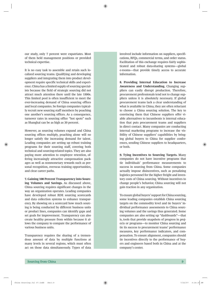our study, only 7 percent were expatriates. Most of them held management positions or provided technical expertise.

It is no easy task to assemble and retain such localized sourcing teams. Qualifying and developing suppliers and integrating them into product development require specific technical skills and experience. China has a limited supply of sourcing specialists because the field of strategic sourcing did not attract much attention there until the late 1990s. This limited pool is often insufficient to meet the ever-increasing demand of China sourcing offices and local companies. So foreign companies typically recruit new sourcing staff members by poaching one another's sourcing offices. As a consequence, turnover rates in sourcing office "hot spots" such as Shanghai can be as high as 30 percent.

However, as sourcing volumes expand and China sourcing offices multiply, poaching alone will no longer satisfy the increasing demand for talent. Leading companies are setting up robust training programs for their sourcing staff, covering both technical and sourcing-related topics. They are also paying more attention to employee retention, offering increasingly attractive compensation packages as well as nonmonetary rewards such as personal recognition, overseas training opportunities, and clear career paths.

**7. Gaining 100 Percent Transparency into Sourcing Volumes and Savings.** As discussed above, China sourcing requires significant changes in the way an organization operates. Leading companies have developed robust RDE sourcing scorecards and data collection systems to enhance transparency. By showing on a scorecard how much sourcing is being conducted by different business units or product lines, companies can identify gaps and set goals for improvement. Transparency can also create healthy pressure from within because it allows the company to compare the performance of various business units.

Transparency requires the sharing of a tremendous amount of data by multiple functions at many levels in several regions, which must often act on those data simultaneously. Types of data

involved include information on suppliers, specifications, RFQs, commercial terms, and order status. Facilitation of this exchange requires fairly sophisticated and robust data-sharing systems—global e-rooms—that provide timely access to accurate information.

**8. Providing Internal Education to Increase Awareness and Understanding.** Changing suppliers can easily disrupt production. Therefore, procurement professionals tend not to change suppliers unless it is absolutely necessary. If global procurement teams lack a clear understanding of what is available in China, they are often reluctant to choose a China sourcing solution. The key to convincing them that Chinese suppliers offer viable alternatives to incumbents is internal education that puts procurement teams and suppliers in direct contact. Many companies are conducting internal marketing programs to increase the visibility of Chinese suppliers' capabilities by bringing global buyers to China for supplier conferences, sending Chinese suppliers to headquarters, or both.

**9. Tying Incentives to Sourcing Targets.** Many companies do not have incentive programs that tie individuals' performance measurements to success in sourcing from China. Some companies actually impose disincentives, such as penalizing logistics personnel for the higher freight and inventory costs of China sourcing. Without incentives to change people's behavior, China sourcing will not gain traction in any organization.

To ensure global buyers' support for China sourcing, some leading companies establish China sourcing targets on the commodity level and tie buyers' individual performance assessments to China sourcing volumes and the savings thus generated. Some companies are also setting up "dashboards"—that is, tools that provide snapshots of progress in projects or programs—to monitor China sourcing and tie its success to procurement teams' performance measures, key performance indicators, and compensation. To ensure alignment, companies should tie incentives directly to the performance of buyers and engineers based both in China and at the company's center.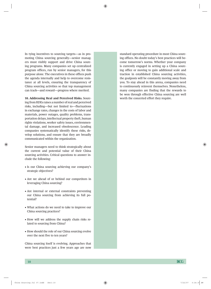In tying incentives to sourcing targets—as in promoting China sourcing generally—senior managers must visibly support and drive China sourcing programs. Many companies set up centralized program offices, run by senior managers, for this purpose alone. The executives in these offices push the agenda internally and help to overcome resistance at all levels, ensuring the transparency of China sourcing activities so that top management can track—and reward—progress where merited.

**10. Addressing Real and Perceived Risks.** Sourcing from RDEs raises a number of real and perceived risks, including—but not limited to—fluctuations in exchange rates, changes in the costs of labor and materials, power outages, quality problems, transportation delays, intellectual property theft, human rights violations, worker safety issues, environmental damage, and increased obsolescence. Leading companies systematically identify these risks, develop solutions, and ensure that they are broadly communicated within the organization.

Senior managers need to think strategically about the current and potential value of their China sourcing activities. Critical questions to answer include the following:

- Is our China sourcing achieving our company's strategic objectives?
- Are we ahead of or behind our competitors in leveraging China sourcing?
- Are internal or external constraints preventing our China sourcing from achieving its full potential?
- What actions do we need to take to improve our China sourcing practices?
- How will we address the supply chain risks related to sourcing from China?
- How should the role of our China sourcing evolve over the next five to ten years?

China sourcing itself is evolving. Approaches that were best practices just a few years ago are now

standard operating procedure in most China sourcing offices. No doubt today's best practices will become tomorrow's norms. Whether your company is currently engaged in setting up a China sourcing office or moving to gain additional scale and traction in established China sourcing activities, the goalposts will be constantly moving away from you. To stay ahead in this arena, companies need to continuously reinvent themselves. Nonetheless, many companies are finding that the rewards to be won through effective China sourcing are well worth the concerted effort they require.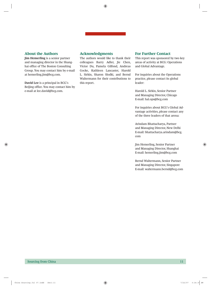#### **About the Authors**

**Jim Hemerling** is a senior partner and managing director in the Shanghai office of The Boston Consulting Group. You may contact him by e-mail at hemerling.jim@bcg.com.

**David Lee** is a principal in BCG's Beijing office. You may contact him by e-mail at lee.david@bcg.com.

#### **Acknowledgments**

The authors would like to thank their colleagues Barry Adler, Jie Chen, Victor Du, Pamela Gilfond, Andreas Gocke, Kathleen Lancaster, Harold L. Sirkin, Sharon Slodki, and Bernd Waltermann for their contributions to this report.

#### **For Further Contact**

This report was sponsored by two key areas of activity at BCG: Operations and Global Advantage.

For inquiries about the Operations practice, please contact its global leader:

Harold L. Sirkin, Senior Partner and Managing Director, Chicago E-mail: hal.ops@bcg.com

For inquiries about BCG's Global Advantage activities, please contact any of the three leaders of that arena:

Arindam Bhattacharya, Partner and Managing Director, New Delhi E-mail: bhattacharya.arindam@bcg. com

Jim Hemerling, Senior Partner and Managing Director, Shanghai E-mail: hemerling.jim@bcg.com

Bernd Waltermann, Senior Partner and Managing Director, Singapore E-mail: waltermann.bernd@bcg.com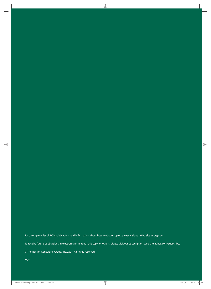For a complete list of BCG publications and information about how to obtain copies, please visit our Web site at bcg.com.

To receive future publications in electronic form about this topic or others, please visit our subscription Web site at bcg.com/subscribe.

© The Boston Consulting Group, Inc. 2007. All rights reserved.

7/07